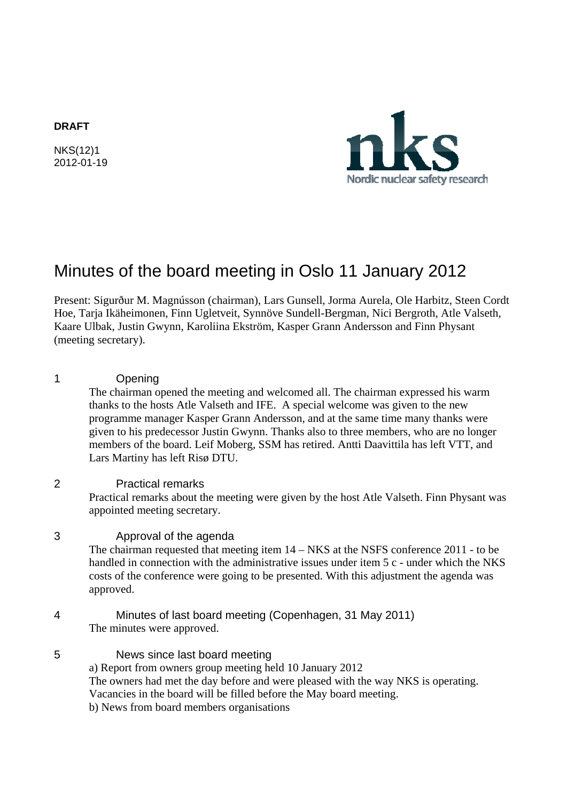#### **DRAFT**

NKS(12)1 2012-01-19



# Minutes of the board meeting in Oslo 11 January 2012

Present: Sigurður M. Magnússon (chairman), Lars Gunsell, Jorma Aurela, Ole Harbitz, Steen Cordt Hoe, Tarja Ikäheimonen, Finn Ugletveit, Synnöve Sundell-Bergman, Nici Bergroth, Atle Valseth, Kaare Ulbak, Justin Gwynn, Karoliina Ekström, Kasper Grann Andersson and Finn Physant (meeting secretary).

1 Opening The chairman opened the meeting and welcomed all. The chairman expressed his warm thanks to the hosts Atle Valseth and IFE. A special welcome was given to the new programme manager Kasper Grann Andersson, and at the same time many thanks were given to his predecessor Justin Gwynn. Thanks also to three members, who are no longer members of the board. Leif Moberg, SSM has retired. Antti Daavittila has left VTT, and Lars Martiny has left Risø DTU. 2 Practical remarks Practical remarks about the meeting were given by the host Atle Valseth. Finn Physant was appointed meeting secretary. 3 Approval of the agenda The chairman requested that meeting item 14 – NKS at the NSFS conference 2011 - to be handled in connection with the administrative issues under item 5 c - under which the NKS costs of the conference were going to be presented. With this adjustment the agenda was approved.

- 4 Minutes of last board meeting (Copenhagen, 31 May 2011) The minutes were approved.
- 5 News since last board meeting a) Report from owners group meeting held 10 January 2012 The owners had met the day before and were pleased with the way NKS is operating. Vacancies in the board will be filled before the May board meeting.
	- b) News from board members organisations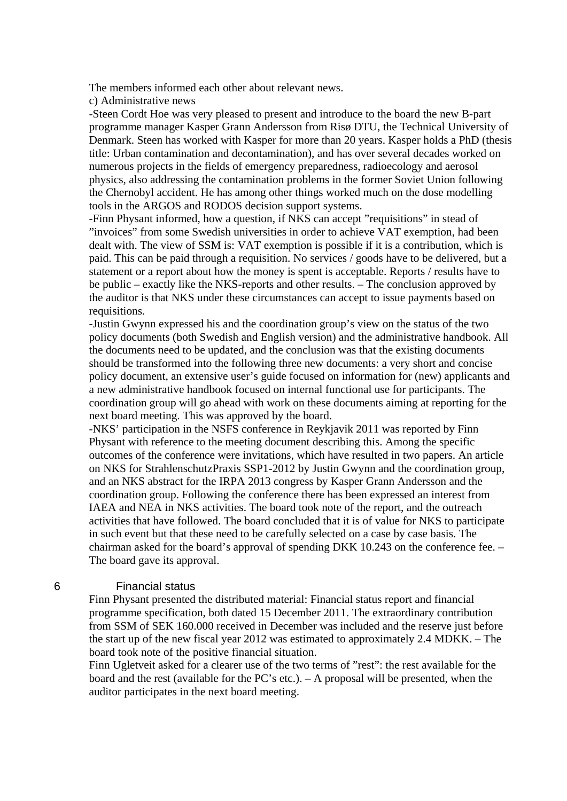The members informed each other about relevant news.

c) Administrative news

-Steen Cordt Hoe was very pleased to present and introduce to the board the new B-part programme manager Kasper Grann Andersson from Risø DTU, the Technical University of Denmark. Steen has worked with Kasper for more than 20 years. Kasper holds a PhD (thesis title: Urban contamination and decontamination), and has over several decades worked on numerous projects in the fields of emergency preparedness, radioecology and aerosol physics, also addressing the contamination problems in the former Soviet Union following the Chernobyl accident. He has among other things worked much on the dose modelling tools in the ARGOS and RODOS decision support systems.

-Finn Physant informed, how a question, if NKS can accept "requisitions" in stead of "invoices" from some Swedish universities in order to achieve VAT exemption, had been dealt with. The view of SSM is: VAT exemption is possible if it is a contribution, which is paid. This can be paid through a requisition. No services / goods have to be delivered, but a statement or a report about how the money is spent is acceptable. Reports / results have to be public – exactly like the NKS-reports and other results. – The conclusion approved by the auditor is that NKS under these circumstances can accept to issue payments based on requisitions.

-Justin Gwynn expressed his and the coordination group's view on the status of the two policy documents (both Swedish and English version) and the administrative handbook. All the documents need to be updated, and the conclusion was that the existing documents should be transformed into the following three new documents: a very short and concise policy document, an extensive user's guide focused on information for (new) applicants and a new administrative handbook focused on internal functional use for participants. The coordination group will go ahead with work on these documents aiming at reporting for the next board meeting. This was approved by the board.

-NKS' participation in the NSFS conference in Reykjavik 2011 was reported by Finn Physant with reference to the meeting document describing this. Among the specific outcomes of the conference were invitations, which have resulted in two papers. An article on NKS for StrahlenschutzPraxis SSP1-2012 by Justin Gwynn and the coordination group, and an NKS abstract for the IRPA 2013 congress by Kasper Grann Andersson and the coordination group. Following the conference there has been expressed an interest from IAEA and NEA in NKS activities. The board took note of the report, and the outreach activities that have followed. The board concluded that it is of value for NKS to participate in such event but that these need to be carefully selected on a case by case basis. The chairman asked for the board's approval of spending DKK 10.243 on the conference fee. – The board gave its approval.

#### 6 Financial status

Finn Physant presented the distributed material: Financial status report and financial programme specification, both dated 15 December 2011. The extraordinary contribution from SSM of SEK 160.000 received in December was included and the reserve just before the start up of the new fiscal year 2012 was estimated to approximately 2.4 MDKK. – The board took note of the positive financial situation.

Finn Ugletveit asked for a clearer use of the two terms of "rest": the rest available for the board and the rest (available for the PC's etc.). – A proposal will be presented, when the auditor participates in the next board meeting.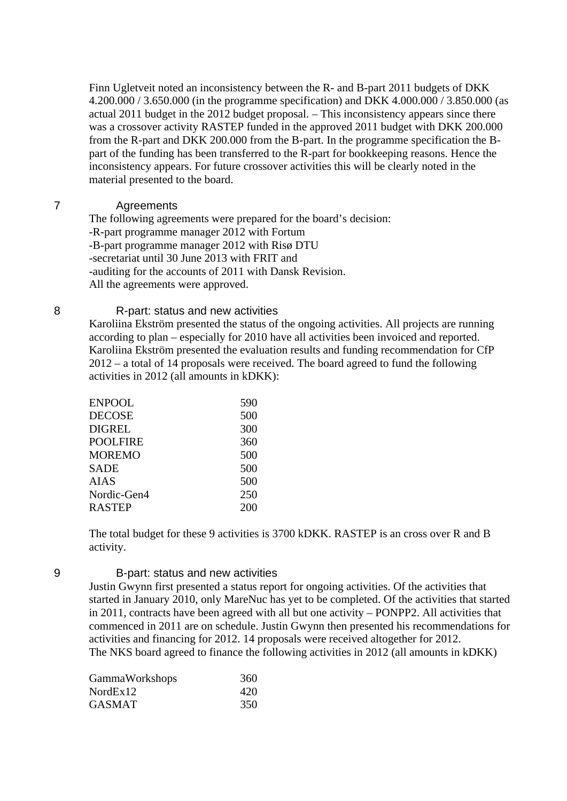Finn Ugletveit noted an inconsistency between the R- and B-part 2011 budgets of DKK 4.200.000 / 3.650.000 (in the programme specification) and DKK 4.000.000 / 3.850.000 (as actual 2011 budget in the 2012 budget proposal. – This inconsistency appears since there was a crossover activity RASTEP funded in the approved 2011 budget with DKK 200.000 from the R-part and DKK 200.000 from the B-part. In the programme specification the Bpart of the funding has been transferred to the R-part for bookkeeping reasons. Hence the inconsistency appears. For future crossover activities this will be clearly noted in the material presented to the board.

#### 7 Agreements

The following agreements were prepared for the board's decision: -R-part programme manager 2012 with Fortum -B-part programme manager 2012 with Risø DTU -secretariat until 30 June 2013 with FRIT and -auditing for the accounts of 2011 with Dansk Revision. All the agreements were approved.

#### 8 R-part: status and new activities

Karoliina Ekström presented the status of the ongoing activities. All projects are running according to plan – especially for 2010 have all activities been invoiced and reported. Karoliina Ekström presented the evaluation results and funding recommendation for CfP 2012 – a total of 14 proposals were received. The board agreed to fund the following activities in 2012 (all amounts in kDKK):

| ENPOOL        | 590 |
|---------------|-----|
| DECOSE        | 500 |
| DIGREL        | 300 |
| POOLFIRE      | 360 |
| MOREMO        | 500 |
| SADE          | 500 |
| <b>AIAS</b>   | 500 |
| Nordic-Gen4   | 250 |
| <b>RASTEP</b> | 200 |
|               |     |

The total budget for these 9 activities is 3700 kDKK. RASTEP is an cross over R and B activity.

#### 9 B-part: status and new activities

Justin Gwynn first presented a status report for ongoing activities. Of the activities that started in January 2010, only MareNuc has yet to be completed. Of the activities that started in 2011, contracts have been agreed with all but one activity – PONPP2. All activities that commenced in 2011 are on schedule. Justin Gwynn then presented his recommendations for activities and financing for 2012. 14 proposals were received altogether for 2012. The NKS board agreed to finance the following activities in 2012 (all amounts in kDKK)

| 360 |
|-----|
| 420 |
| 350 |
|     |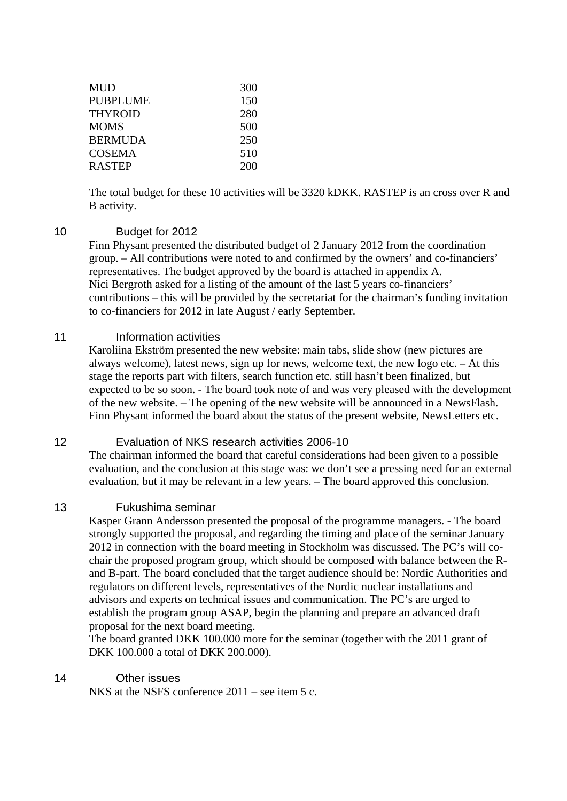| MUD      | 300 |
|----------|-----|
| PUBPLUME | 150 |
| THYROID  | 280 |
| MOMS     | 500 |
| BERMUDA  | 250 |
| COSEMA   | 510 |
| RASTEP   | 200 |
|          |     |

The total budget for these 10 activities will be 3320 kDKK. RASTEP is an cross over R and B activity.

#### 10 Budget for 2012

Finn Physant presented the distributed budget of 2 January 2012 from the coordination group. – All contributions were noted to and confirmed by the owners' and co-financiers' representatives. The budget approved by the board is attached in appendix A. Nici Bergroth asked for a listing of the amount of the last 5 years co-financiers' contributions – this will be provided by the secretariat for the chairman's funding invitation to co-financiers for 2012 in late August / early September.

#### 11 **Information activities**

Karoliina Ekström presented the new website: main tabs, slide show (new pictures are always welcome), latest news, sign up for news, welcome text, the new logo etc. – At this stage the reports part with filters, search function etc. still hasn't been finalized, but expected to be so soon. - The board took note of and was very pleased with the development of the new website. – The opening of the new website will be announced in a NewsFlash. Finn Physant informed the board about the status of the present website, NewsLetters etc.

## 12 Evaluation of NKS research activities 2006-10

The chairman informed the board that careful considerations had been given to a possible evaluation, and the conclusion at this stage was: we don't see a pressing need for an external evaluation, but it may be relevant in a few years. – The board approved this conclusion.

#### 13 Fukushima seminar

Kasper Grann Andersson presented the proposal of the programme managers. - The board strongly supported the proposal, and regarding the timing and place of the seminar January 2012 in connection with the board meeting in Stockholm was discussed. The PC's will cochair the proposed program group, which should be composed with balance between the Rand B-part. The board concluded that the target audience should be: Nordic Authorities and regulators on different levels, representatives of the Nordic nuclear installations and advisors and experts on technical issues and communication. The PC's are urged to establish the program group ASAP, begin the planning and prepare an advanced draft proposal for the next board meeting.

The board granted DKK 100.000 more for the seminar (together with the 2011 grant of DKK 100.000 a total of DKK 200.000).

## 14 Other issues

NKS at the NSFS conference 2011 – see item 5 c.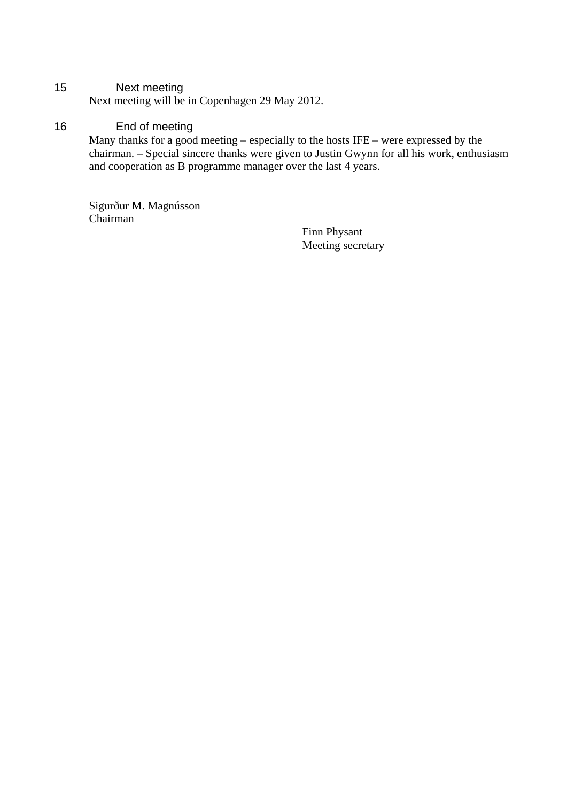## 15 Next meeting

Next meeting will be in Copenhagen 29 May 2012.

## 16 End of meeting

Many thanks for a good meeting – especially to the hosts IFE – were expressed by the chairman. – Special sincere thanks were given to Justin Gwynn for all his work, enthusiasm and cooperation as B programme manager over the last 4 years.

Sigurður M. Magnússon Chairman

> Finn Physant Meeting secretary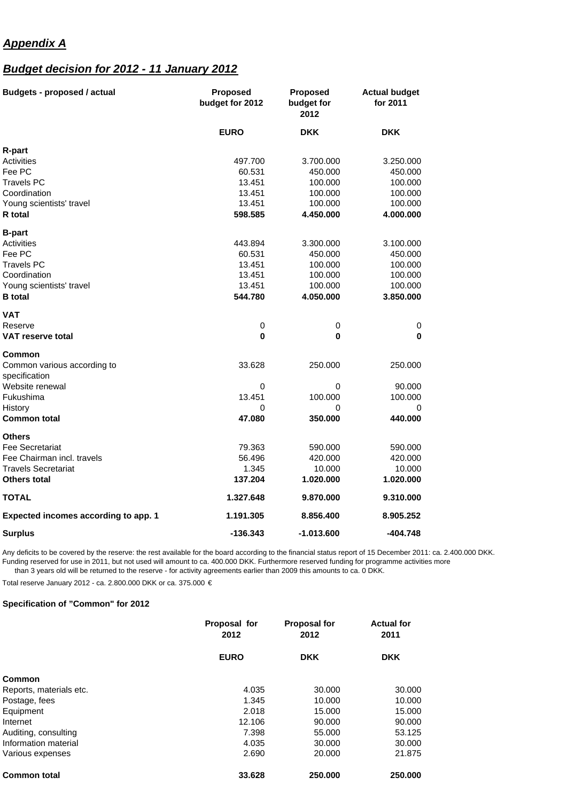## *Appendix A*

## *Budget decision for 2012 - 11 January 2012*

| <b>Budgets - proposed / actual</b>           | <b>Proposed</b><br>budget for 2012 | <b>Proposed</b><br>budget for<br>2012 | <b>Actual budget</b><br>for 2011 |
|----------------------------------------------|------------------------------------|---------------------------------------|----------------------------------|
|                                              | <b>EURO</b>                        | <b>DKK</b>                            | <b>DKK</b>                       |
| R-part                                       |                                    |                                       |                                  |
| Activities                                   | 497.700                            | 3.700.000                             | 3.250.000                        |
| Fee PC                                       | 60.531                             | 450.000                               | 450.000                          |
| Travels PC                                   | 13.451                             | 100.000                               | 100.000                          |
| Coordination                                 | 13.451                             | 100.000                               | 100.000                          |
| Young scientists' travel                     | 13.451                             | 100.000                               | 100.000                          |
| R total                                      | 598.585                            | 4.450.000                             | 4.000.000                        |
| <b>B-part</b>                                |                                    |                                       |                                  |
| Activities                                   | 443.894                            | 3.300.000                             | 3.100.000                        |
| Fee PC                                       | 60.531                             | 450.000                               | 450.000                          |
| Travels PC                                   | 13.451                             | 100.000                               | 100.000                          |
| Coordination                                 | 13.451                             | 100.000                               | 100.000                          |
| Young scientists' travel                     | 13.451                             | 100.000                               | 100.000                          |
| <b>B</b> total                               | 544.780                            | 4.050.000                             | 3.850.000                        |
| VAT                                          |                                    |                                       |                                  |
| Reserve                                      | 0                                  | 0                                     | 0                                |
| <b>VAT reserve total</b>                     | 0                                  | 0                                     | $\bf{0}$                         |
| Common                                       |                                    |                                       |                                  |
| Common various according to<br>specification | 33.628                             | 250.000                               | 250.000                          |
| Website renewal                              | 0                                  | 0                                     | 90.000                           |
| Fukushima                                    | 13.451                             | 100.000                               | 100.000                          |
| History                                      | 0                                  | 0                                     | 0                                |
| Common total                                 | 47.080                             | 350.000                               | 440.000                          |
| <b>Others</b>                                |                                    |                                       |                                  |
| Fee Secretariat                              | 79.363                             | 590.000                               | 590.000                          |
| Fee Chairman incl. travels                   | 56.496                             | 420.000                               | 420.000                          |
| <b>Travels Secretariat</b>                   | 1.345                              | 10.000                                | 10.000                           |
| Others total                                 | 137.204                            | 1.020.000                             | 1.020.000                        |
| TOTAL                                        | 1.327.648                          | 9.870.000                             | 9.310.000                        |
| <b>Expected incomes according to app. 1</b>  | 1.191.305                          | 8.856.400                             | 8.905.252                        |
| <b>Surplus</b>                               | $-136.343$                         | $-1.013.600$                          | -404.748                         |

Any deficits to be covered by the reserve: the rest available for the board according to the financial status report of 15 December 2011: ca. 2.400.000 DKK. Funding reserved for use in 2011, but not used will amount to ca. 400.000 DKK. Furthermore reserved funding for programme activities more than 3 years old will be returned to the reserve - for activity agreements earlier than 2009 this amounts to ca. 0 DKK.

Total reserve January 2012 - ca. 2.800.000 DKK or ca. 375.000 €

#### **Specification of "Common" for 2012**

|                         | Proposal for<br>2012 | <b>Proposal for</b><br>2012 | <b>Actual for</b><br>2011 |
|-------------------------|----------------------|-----------------------------|---------------------------|
|                         | <b>EURO</b>          | <b>DKK</b>                  | <b>DKK</b>                |
| Common                  |                      |                             |                           |
| Reports, materials etc. | 4.035                | 30,000                      | 30,000                    |
| Postage, fees           | 1.345                | 10.000                      | 10.000                    |
| Equipment               | 2.018                | 15.000                      | 15.000                    |
| Internet                | 12.106               | 90,000                      | 90.000                    |
| Auditing, consulting    | 7.398                | 55,000                      | 53.125                    |
| Information material    | 4.035                | 30,000                      | 30,000                    |
| Various expenses        | 2.690                | 20,000                      | 21.875                    |
| <b>Common total</b>     | 33.628               | 250.000                     | 250,000                   |